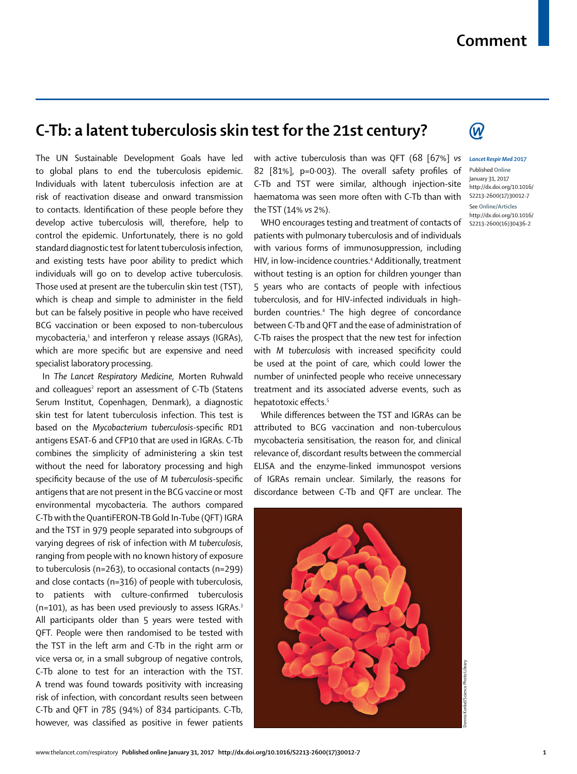## **Comment**

## **C-Tb: a latent tuberculosis skin test for the 21st century?**

The UN Sustainable Development Goals have led to global plans to end the tuberculosis epidemic. Individuals with latent tuberculosis infection are at risk of reactivation disease and onward transmission to contacts. Identification of these people before they develop active tuberculosis will, therefore, help to control the epidemic. Unfortunately, there is no gold standard diagnostic test for latent tuberculosis infection, and existing tests have poor ability to predict which individuals will go on to develop active tuberculosis. Those used at present are the tuberculin skin test (TST), which is cheap and simple to administer in the field but can be falsely positive in people who have received BCG vaccination or been exposed to non-tuberculous mycobacteria, $^{\scriptscriptstyle 1}$  and interferon  $\gamma$  release assays (IGRAs), which are more specific but are expensive and need specialist laboratory processing.

In *The Lancet Respiratory Medicine*, Morten Ruhwald and colleagues<sup>2</sup> report an assessment of C-Tb (Statens Serum Institut, Copenhagen, Denmark), a diagnostic skin test for latent tuberculosis infection. This test is based on the *Mycobacterium tuberculosis-specific RD1* antigens ESAT-6 and CFP10 that are used in IGRAs. C-Tb combines the simplicity of administering a skin test without the need for laboratory processing and high specificity because of the use of *M tuberculosis-specific* antigens that are not present in the BCG vaccine or most environmental mycobacteria. The authors compared C-Tb with the QuantiFERON-TB Gold In-Tube (QFT) IGRA and the TST in 979 people separated into subgroups of varying degrees of risk of infection with *M tuberculosis*, ranging from people with no known history of exposure to tuberculosis (n=263), to occasional contacts (n=299) and close contacts (n=316) of people with tuberculosis, to patients with culture-confirmed tuberculosis  $(n=101)$ , as has been used previously to assess IGRAs.<sup>3</sup> All participants older than 5 years were tested with QFT. People were then randomised to be tested with the TST in the left arm and C-Tb in the right arm or vice versa or, in a small subgroup of negative controls, C-Tb alone to test for an interaction with the TST. A trend was found towards positivity with increasing risk of infection, with concordant results seen between C-Tb and QFT in 785 (94%) of 834 participants. C-Tb, however, was classified as positive in fewer patients with active tuberculosis than was QFT (68 [67%] *vs* 82  $[81\%]$ , p=0 $\cdot$ 003). The overall safety profiles of C-Tb and TST were similar, although injection-site haematoma was seen more often with C-Tb than with the TST (14% *vs* 2%).

WHO encourages testing and treatment of contacts of patients with pulmonary tuberculosis and of individuals with various forms of immunosuppression, including HIV, in low-incidence countries.4 Additionally, treatment without testing is an option for children younger than 5 years who are contacts of people with infectious tuberculosis, and for HIV-infected individuals in highburden countries.4 The high degree of concordance between C-Tb and QFT and the ease of administration of C-Tb raises the prospect that the new test for infection with *M* tuberculosis with increased specificity could be used at the point of care, which could lower the number of uninfected people who receive unnecessary treatment and its associated adverse events, such as hepatotoxic effects.<sup>5</sup>

While differences between the TST and IGRAs can be attributed to BCG vaccination and non-tuberculous mycobacteria sensitisation, the reason for, and clinical relevance of, discordant results between the commercial ELISA and the enzyme-linked immunospot versions of IGRAs remain unclear. Similarly, the reasons for discordance between C-Tb and QFT are unclear. The





## *Lancet Respir Med* **2017**

Published **Online** January 31, 2017 http://dx.doi.org/10.1016/ S2213-2600(17)30012-7

See **Online/Articles** http://dx.doi.org/10.1016/ S2213-2600(16)30436-2